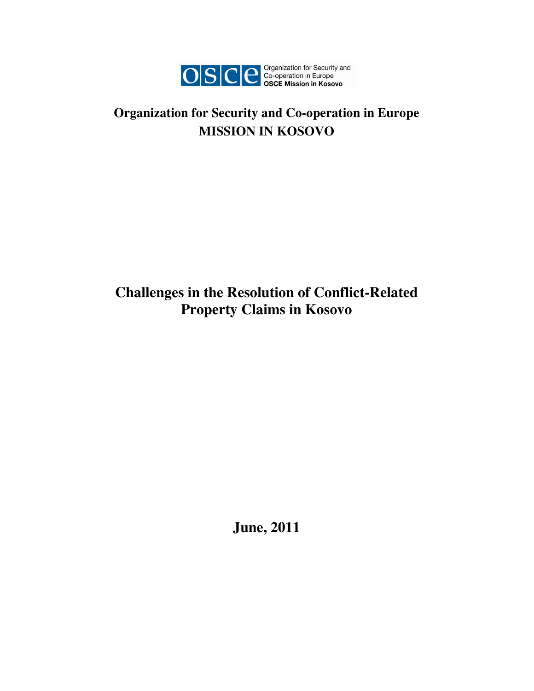

# **Organization for Security and Co-operation in Europe MISSION IN KOSOVO**

# **Challenges in the Resolution of Conflict-Related Property Claims in Kosovo**

**June, 2011**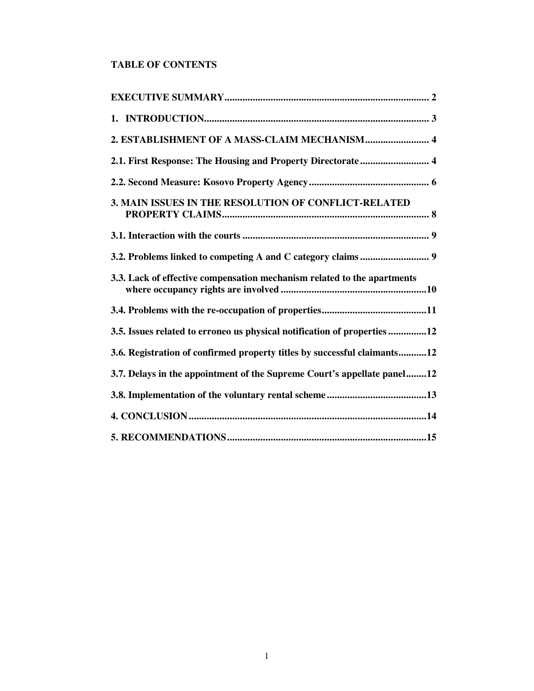# **TABLE OF CONTENTS**

| 2. ESTABLISHMENT OF A MASS-CLAIM MECHANISM 4                             |
|--------------------------------------------------------------------------|
| 2.1. First Response: The Housing and Property Directorate 4              |
|                                                                          |
| 3. MAIN ISSUES IN THE RESOLUTION OF CONFLICT-RELATED                     |
|                                                                          |
|                                                                          |
| 3.3. Lack of effective compensation mechanism related to the apartments  |
|                                                                          |
| 3.5. Issues related to erroneo us physical notification of properties12  |
| 3.6. Registration of confirmed property titles by successful claimants12 |
| 3.7. Delays in the appointment of the Supreme Court's appellate panel12  |
|                                                                          |
|                                                                          |
|                                                                          |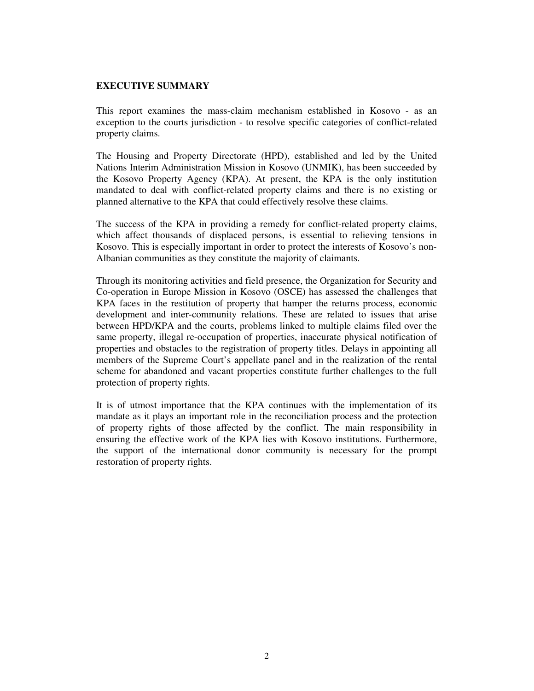#### **EXECUTIVE SUMMARY**

This report examines the mass-claim mechanism established in Kosovo - as an exception to the courts jurisdiction - to resolve specific categories of conflict-related property claims.

The Housing and Property Directorate (HPD), established and led by the United Nations Interim Administration Mission in Kosovo (UNMIK), has been succeeded by the Kosovo Property Agency (KPA). At present, the KPA is the only institution mandated to deal with conflict-related property claims and there is no existing or planned alternative to the KPA that could effectively resolve these claims.

The success of the KPA in providing a remedy for conflict-related property claims, which affect thousands of displaced persons, is essential to relieving tensions in Kosovo. This is especially important in order to protect the interests of Kosovo's non-Albanian communities as they constitute the majority of claimants.

Through its monitoring activities and field presence, the Organization for Security and Co-operation in Europe Mission in Kosovo (OSCE) has assessed the challenges that KPA faces in the restitution of property that hamper the returns process, economic development and inter-community relations. These are related to issues that arise between HPD/KPA and the courts, problems linked to multiple claims filed over the same property, illegal re-occupation of properties, inaccurate physical notification of properties and obstacles to the registration of property titles. Delays in appointing all members of the Supreme Court's appellate panel and in the realization of the rental scheme for abandoned and vacant properties constitute further challenges to the full protection of property rights.

It is of utmost importance that the KPA continues with the implementation of its mandate as it plays an important role in the reconciliation process and the protection of property rights of those affected by the conflict. The main responsibility in ensuring the effective work of the KPA lies with Kosovo institutions. Furthermore, the support of the international donor community is necessary for the prompt restoration of property rights.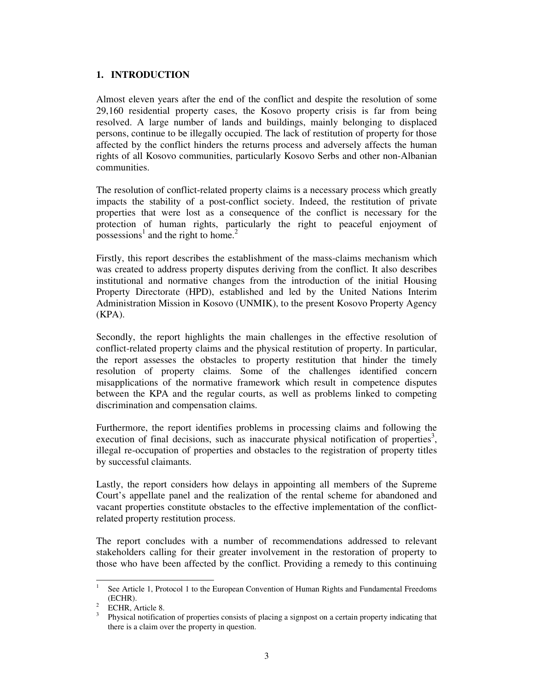# **1. INTRODUCTION**

Almost eleven years after the end of the conflict and despite the resolution of some 29,160 residential property cases, the Kosovo property crisis is far from being resolved. A large number of lands and buildings, mainly belonging to displaced persons, continue to be illegally occupied. The lack of restitution of property for those affected by the conflict hinders the returns process and adversely affects the human rights of all Kosovo communities, particularly Kosovo Serbs and other non-Albanian communities.

The resolution of conflict-related property claims is a necessary process which greatly impacts the stability of a post-conflict society. Indeed, the restitution of private properties that were lost as a consequence of the conflict is necessary for the protection of human rights, particularly the right to peaceful enjoyment of possessions<sup>1</sup> and the right to home.<sup>2</sup>

Firstly, this report describes the establishment of the mass-claims mechanism which was created to address property disputes deriving from the conflict. It also describes institutional and normative changes from the introduction of the initial Housing Property Directorate (HPD), established and led by the United Nations Interim Administration Mission in Kosovo (UNMIK), to the present Kosovo Property Agency  $(KPA)$ .

Secondly, the report highlights the main challenges in the effective resolution of conflict-related property claims and the physical restitution of property. In particular, the report assesses the obstacles to property restitution that hinder the timely resolution of property claims. Some of the challenges identified concern misapplications of the normative framework which result in competence disputes between the KPA and the regular courts, as well as problems linked to competing discrimination and compensation claims.

Furthermore, the report identifies problems in processing claims and following the execution of final decisions, such as inaccurate physical notification of properties<sup>3</sup>, illegal re-occupation of properties and obstacles to the registration of property titles by successful claimants.

Lastly, the report considers how delays in appointing all members of the Supreme Court's appellate panel and the realization of the rental scheme for abandoned and vacant properties constitute obstacles to the effective implementation of the conflictrelated property restitution process.

The report concludes with a number of recommendations addressed to relevant stakeholders calling for their greater involvement in the restoration of property to those who have been affected by the conflict. Providing a remedy to this continuing

<sup>1</sup> See Article 1, Protocol 1 to the European Convention of Human Rights and Fundamental Freedoms (ECHR).

<sup>&</sup>lt;sup>2</sup> ECHR, Article 8.

<sup>&</sup>lt;sup>3</sup> Physical notification of properties consists of placing a signpost on a certain property indicating that there is a claim over the property in question.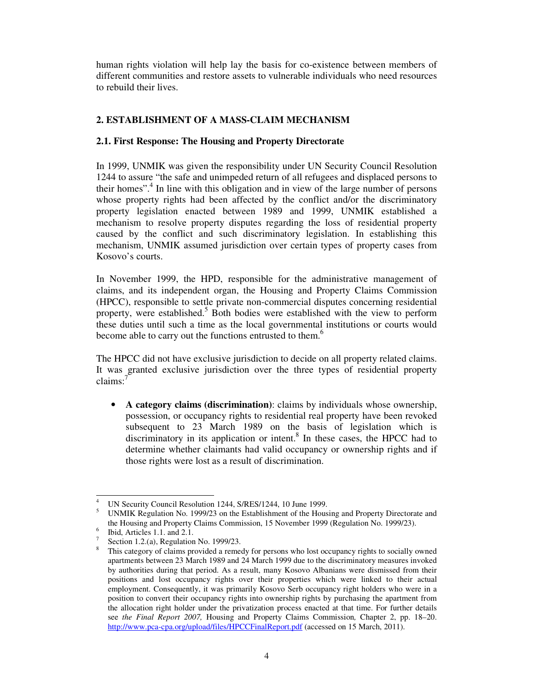human rights violation will help lay the basis for co-existence between members of different communities and restore assets to vulnerable individuals who need resources to rebuild their lives.

# **2. ESTABLISHMENT OF A MASS-CLAIM MECHANISM**

# **2.1. First Response: The Housing and Property Directorate**

In 1999, UNMIK was given the responsibility under UN Security Council Resolution 1244 to assure "the safe and unimpeded return of all refugees and displaced persons to their homes".<sup>4</sup> In line with this obligation and in view of the large number of persons whose property rights had been affected by the conflict and/or the discriminatory property legislation enacted between 1989 and 1999, UNMIK established a mechanism to resolve property disputes regarding the loss of residential property caused by the conflict and such discriminatory legislation. In establishing this mechanism, UNMIK assumed jurisdiction over certain types of property cases from Kosovo's courts.

In November 1999, the HPD, responsible for the administrative management of claims, and its independent organ, the Housing and Property Claims Commission (HPCC), responsible to settle private non-commercial disputes concerning residential property, were established.<sup>5</sup> Both bodies were established with the view to perform these duties until such a time as the local governmental institutions or courts would become able to carry out the functions entrusted to them.<sup>6</sup>

The HPCC did not have exclusive jurisdiction to decide on all property related claims. It was granted exclusive jurisdiction over the three types of residential property claims:<sup>7</sup>

• **A category claims (discrimination)**: claims by individuals whose ownership, possession, or occupancy rights to residential real property have been revoked subsequent to 23 March 1989 on the basis of legislation which is discriminatory in its application or intent.<sup>8</sup> In these cases, the HPCC had to determine whether claimants had valid occupancy or ownership rights and if those rights were lost as a result of discrimination.

<sup>4</sup> UN Security Council Resolution 1244, S/RES/1244, 10 June 1999.

<sup>5</sup> UNMIK Regulation No. 1999/23 on the Establishment of the Housing and Property Directorate and the Housing and Property Claims Commission, 15 November 1999 (Regulation No. 1999/23).

<sup>6</sup> Ibid, Articles 1.1. and 2.1.

<sup>7</sup> Section 1.2.(a), Regulation No. 1999/23.

<sup>8</sup> This category of claims provided a remedy for persons who lost occupancy rights to socially owned apartments between 23 March 1989 and 24 March 1999 due to the discriminatory measures invoked by authorities during that period. As a result, many Kosovo Albanians were dismissed from their positions and lost occupancy rights over their properties which were linked to their actual employment. Consequently, it was primarily Kosovo Serb occupancy right holders who were in a position to convert their occupancy rights into ownership rights by purchasing the apartment from the allocation right holder under the privatization process enacted at that time. For further details see *the Final Report 2007,* Housing and Property Claims Commission*,* Chapter 2, pp. 18–20. http://www.pca-cpa.org/upload/files/HPCCFinalReport.pdf (accessed on 15 March, 2011).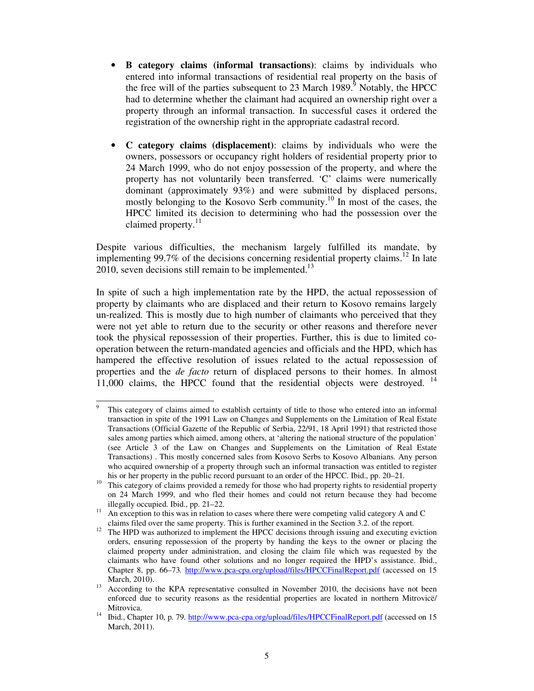- **B category claims (informal transactions)**: claims by individuals who entered into informal transactions of residential real property on the basis of the free will of the parties subsequent to 23 March  $1989$ .<sup>9</sup> Notably, the HPCC had to determine whether the claimant had acquired an ownership right over a property through an informal transaction. In successful cases it ordered the registration of the ownership right in the appropriate cadastral record.
- **C category claims (displacement)**: claims by individuals who were the owners, possessors or occupancy right holders of residential property prior to 24 March 1999, who do not enjoy possession of the property, and where the property has not voluntarily been transferred. 'C' claims were numerically dominant (approximately 93%) and were submitted by displaced persons, mostly belonging to the Kosovo Serb community.<sup>10</sup> In most of the cases, the HPCC limited its decision to determining who had the possession over the claimed property.<sup>11</sup>

Despite various difficulties, the mechanism largely fulfilled its mandate, by implementing 99.7% of the decisions concerning residential property claims.<sup>12</sup> In late  $2010$ , seven decisions still remain to be implemented.<sup>13</sup>

In spite of such a high implementation rate by the HPD, the actual repossession of property by claimants who are displaced and their return to Kosovo remains largely un-realized. This is mostly due to high number of claimants who perceived that they were not yet able to return due to the security or other reasons and therefore never took the physical repossession of their properties. Further, this is due to limited cooperation between the return-mandated agencies and officials and the HPD, which has hampered the effective resolution of issues related to the actual repossession of properties and the *de facto* return of displaced persons to their homes. In almost 11,000 claims, the HPCC found that the residential objects were destroyed.  $14$ 

<sup>9</sup> This category of claims aimed to establish certainty of title to those who entered into an informal transaction in spite of the 1991 Law on Changes and Supplements on the Limitation of Real Estate Transactions (Official Gazette of the Republic of Serbia, 22/91, 18 April 1991) that restricted those sales among parties which aimed, among others, at 'altering the national structure of the population' (see Article 3 of the Law on Changes and Supplements on the Limitation of Real Estate Transactions) . This mostly concerned sales from Kosovo Serbs to Kosovo Albanians. Any person who acquired ownership of a property through such an informal transaction was entitled to register his or her property in the public record pursuant to an order of the HPCC. Ibid., pp. 20–21*.*

<sup>&</sup>lt;sup>10</sup> This category of claims provided a remedy for those who had property rights to residential property on 24 March 1999, and who fled their homes and could not return because they had become illegally occupied. Ibid., pp. 21–22.

 $11$  An exception to this was in relation to cases where there were competing valid category A and C claims filed over the same property. This is further examined in the Section 3.2. of the report.

<sup>&</sup>lt;sup>12</sup> The HPD was authorized to implement the HPCC decisions through issuing and executing eviction orders, ensuring repossession of the property by handing the keys to the owner or placing the claimed property under administration, and closing the claim file which was requested by the claimants who have found other solutions and no longer required the HPD's assistance. Ibid., Chapter 8, pp. 66–73*.* http://www.pca-cpa.org/upload/files/HPCCFinalReport.pdf (accessed on 15 March, 2010).

<sup>&</sup>lt;sup>13</sup> According to the KPA representative consulted in November 2010, the decisions have not been enforced due to security reasons as the residential properties are located in northern Mitrovicë/ Mitrovica.

<sup>&</sup>lt;sup>14</sup> Ibid., Chapter 10, p. 79. http://www.pca-cpa.org/upload/files/HPCCFinalReport.pdf (accessed on 15 March, 2011).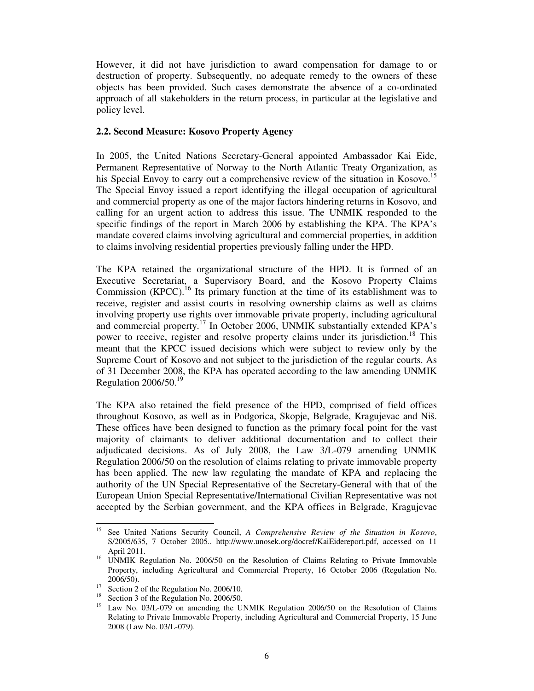However, it did not have jurisdiction to award compensation for damage to or destruction of property. Subsequently, no adequate remedy to the owners of these objects has been provided. Such cases demonstrate the absence of a co-ordinated approach of all stakeholders in the return process, in particular at the legislative and policy level.

#### **2.2. Second Measure: Kosovo Property Agency**

In 2005, the United Nations Secretary-General appointed Ambassador Kai Eide, Permanent Representative of Norway to the North Atlantic Treaty Organization, as his Special Envoy to carry out a comprehensive review of the situation in Kosovo.<sup>15</sup> The Special Envoy issued a report identifying the illegal occupation of agricultural and commercial property as one of the major factors hindering returns in Kosovo, and calling for an urgent action to address this issue. The UNMIK responded to the specific findings of the report in March 2006 by establishing the KPA. The KPA's mandate covered claims involving agricultural and commercial properties, in addition to claims involving residential properties previously falling under the HPD.

The KPA retained the organizational structure of the HPD. It is formed of an Executive Secretariat, a Supervisory Board, and the Kosovo Property Claims Commission  $(KPCC)$ .<sup>16</sup> Its primary function at the time of its establishment was to receive, register and assist courts in resolving ownership claims as well as claims involving property use rights over immovable private property, including agricultural and commercial property.<sup>17</sup> In October 2006, UNMIK substantially extended KPA's power to receive, register and resolve property claims under its jurisdiction.<sup>18</sup> This meant that the KPCC issued decisions which were subject to review only by the Supreme Court of Kosovo and not subject to the jurisdiction of the regular courts. As of 31 December 2008, the KPA has operated according to the law amending UNMIK Regulation  $2006/50.<sup>19</sup>$ 

The KPA also retained the field presence of the HPD, comprised of field offices throughout Kosovo, as well as in Podgorica, Skopje, Belgrade, Kragujevac and Niš. These offices have been designed to function as the primary focal point for the vast majority of claimants to deliver additional documentation and to collect their adjudicated decisions. As of July 2008, the Law 3/L-079 amending UNMIK Regulation 2006/50 on the resolution of claims relating to private immovable property has been applied. The new law regulating the mandate of KPA and replacing the authority of the UN Special Representative of the Secretary-General with that of the European Union Special Representative/International Civilian Representative was not accepted by the Serbian government, and the KPA offices in Belgrade, Kragujevac

<sup>15</sup> See United Nations Security Council, *A Comprehensive Review of the Situation in Kosovo*, S/2005/635, 7 October 2005.. http://www.unosek.org/docref/KaiEidereport.pdf, accessed on 11 April 2011.

<sup>&</sup>lt;sup>16</sup> UNMIK Regulation No. 2006/50 on the Resolution of Claims Relating to Private Immovable Property, including Agricultural and Commercial Property, 16 October 2006 (Regulation No. 2006/50).

<sup>&</sup>lt;sup>17</sup> Section 2 of the Regulation No. 2006/10.

<sup>&</sup>lt;sup>18</sup> Section 3 of the Regulation No. 2006/50.

<sup>&</sup>lt;sup>19</sup> Law No. 03/L-079 on amending the UNMIK Regulation 2006/50 on the Resolution of Claims Relating to Private Immovable Property, including Agricultural and Commercial Property, 15 June 2008 (Law No. 03/L-079).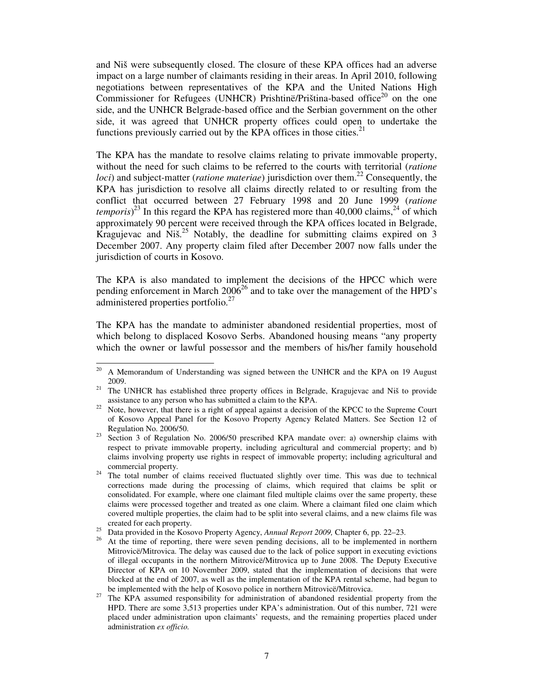and Niš were subsequently closed. The closure of these KPA offices had an adverse impact on a large number of claimants residing in their areas. In April 2010, following negotiations between representatives of the KPA and the United Nations High Commissioner for Refugees (UNHCR) Prishtinë/Priština-based office<sup>20</sup> on the one side, and the UNHCR Belgrade-based office and the Serbian government on the other side, it was agreed that UNHCR property offices could open to undertake the functions previously carried out by the KPA offices in those cities. $21$ 

The KPA has the mandate to resolve claims relating to private immovable property, without the need for such claims to be referred to the courts with territorial (*ratione loci*) and subject-matter (*ratione materiae*) jurisdiction over them.<sup>22</sup> Consequently, the KPA has jurisdiction to resolve all claims directly related to or resulting from the conflict that occurred between 27 February 1998 and 20 June 1999 (*ratione temporis*)<sup>23</sup> In this regard the KPA has registered more than 40,000 claims,<sup>24</sup> of which approximately 90 percent were received through the KPA offices located in Belgrade, Kragujevac and  $Ni\ddot{s}$ <sup>25</sup> Notably, the deadline for submitting claims expired on 3 December 2007. Any property claim filed after December 2007 now falls under the jurisdiction of courts in Kosovo.

The KPA is also mandated to implement the decisions of the HPCC which were pending enforcement in March 2006<sup>26</sup> and to take over the management of the HPD's administered properties portfolio.<sup>27</sup>

The KPA has the mandate to administer abandoned residential properties, most of which belong to displaced Kosovo Serbs. Abandoned housing means "any property which the owner or lawful possessor and the members of his/her family household

<sup>&</sup>lt;sup>20</sup> A Memorandum of Understanding was signed between the UNHCR and the KPA on 19 August 2009.

<sup>&</sup>lt;sup>21</sup> The UNHCR has established three property offices in Belgrade, Kragujevac and Niš to provide assistance to any person who has submitted a claim to the KPA.

<sup>&</sup>lt;sup>22</sup> Note, however, that there is a right of appeal against a decision of the KPCC to the Supreme Court of Kosovo Appeal Panel for the Kosovo Property Agency Related Matters. See Section 12 of Regulation No. 2006/50.

<sup>&</sup>lt;sup>23</sup> Section 3 of Regulation No. 2006/50 prescribed KPA mandate over: a) ownership claims with respect to private immovable property, including agricultural and commercial property; and b) claims involving property use rights in respect of immovable property; including agricultural and commercial property.

<sup>&</sup>lt;sup>24</sup> The total number of claims received fluctuated slightly over time. This was due to technical corrections made during the processing of claims, which required that claims be split or consolidated. For example, where one claimant filed multiple claims over the same property, these claims were processed together and treated as one claim. Where a claimant filed one claim which covered multiple properties, the claim had to be split into several claims, and a new claims file was created for each property.

<sup>&</sup>lt;sup>25</sup> Data provided in the Kosovo Property Agency, *Annual Report 2009*, Chapter 6, pp. 22–23.

<sup>26</sup> At the time of reporting, there were seven pending decisions, all to be implemented in northern Mitrovicë/Mitrovica. The delay was caused due to the lack of police support in executing evictions of illegal occupants in the northern Mitrovicë/Mitrovica up to June 2008. The Deputy Executive Director of KPA on 10 November 2009, stated that the implementation of decisions that were blocked at the end of 2007, as well as the implementation of the KPA rental scheme, had begun to be implemented with the help of Kosovo police in northern Mitrovicë/Mitrovica.

<sup>&</sup>lt;sup>27</sup> The KPA assumed responsibility for administration of abandoned residential property from the HPD. There are some 3,513 properties under KPA's administration. Out of this number, 721 were placed under administration upon claimants' requests, and the remaining properties placed under administration *ex officio.*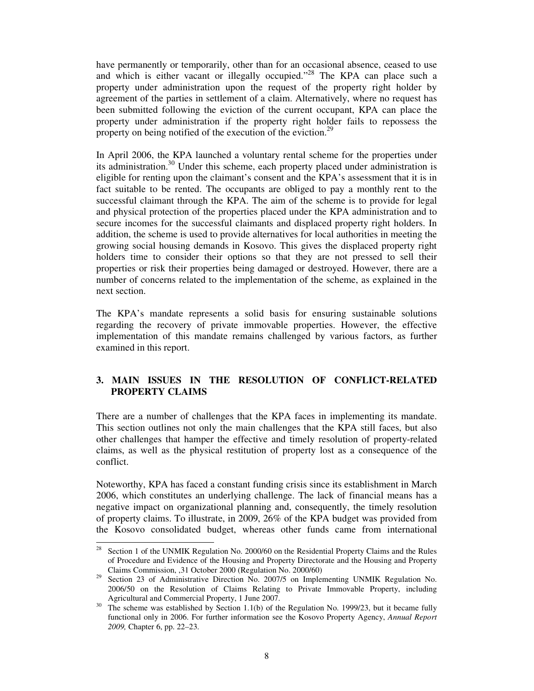have permanently or temporarily, other than for an occasional absence, ceased to use and which is either vacant or illegally occupied."<sup>28</sup> The KPA can place such a property under administration upon the request of the property right holder by agreement of the parties in settlement of a claim. Alternatively, where no request has been submitted following the eviction of the current occupant, KPA can place the property under administration if the property right holder fails to repossess the property on being notified of the execution of the eviction.<sup>29</sup>

In April 2006, the KPA launched a voluntary rental scheme for the properties under its administration.<sup>30</sup> Under this scheme, each property placed under administration is eligible for renting upon the claimant's consent and the KPA's assessment that it is in fact suitable to be rented. The occupants are obliged to pay a monthly rent to the successful claimant through the KPA. The aim of the scheme is to provide for legal and physical protection of the properties placed under the KPA administration and to secure incomes for the successful claimants and displaced property right holders. In addition, the scheme is used to provide alternatives for local authorities in meeting the growing social housing demands in Kosovo. This gives the displaced property right holders time to consider their options so that they are not pressed to sell their properties or risk their properties being damaged or destroyed. However, there are a number of concerns related to the implementation of the scheme, as explained in the next section.

The KPA's mandate represents a solid basis for ensuring sustainable solutions regarding the recovery of private immovable properties. However, the effective implementation of this mandate remains challenged by various factors, as further examined in this report.

# **3. MAIN ISSUES IN THE RESOLUTION OF CONFLICT-RELATED PROPERTY CLAIMS**

There are a number of challenges that the KPA faces in implementing its mandate. This section outlines not only the main challenges that the KPA still faces, but also other challenges that hamper the effective and timely resolution of property-related claims, as well as the physical restitution of property lost as a consequence of the conflict.

Noteworthy, KPA has faced a constant funding crisis since its establishment in March 2006, which constitutes an underlying challenge. The lack of financial means has a negative impact on organizational planning and, consequently, the timely resolution of property claims. To illustrate, in 2009, 26% of the KPA budget was provided from the Kosovo consolidated budget, whereas other funds came from international

<sup>&</sup>lt;sup>28</sup> Section 1 of the UNMIK Regulation No. 2000/60 on the Residential Property Claims and the Rules of Procedure and Evidence of the Housing and Property Directorate and the Housing and Property Claims Commission, ,31 October 2000 (Regulation No. 2000/60)

<sup>&</sup>lt;sup>29</sup> Section 23 of Administrative Direction No. 2007/5 on Implementing UNMIK Regulation No. 2006/50 on the Resolution of Claims Relating to Private Immovable Property, including Agricultural and Commercial Property, 1 June 2007.

<sup>&</sup>lt;sup>30</sup> The scheme was established by Section 1.1(b) of the Regulation No. 1999/23, but it became fully functional only in 2006. For further information see the Kosovo Property Agency, *Annual Report 2009,* Chapter 6, pp. 22–23.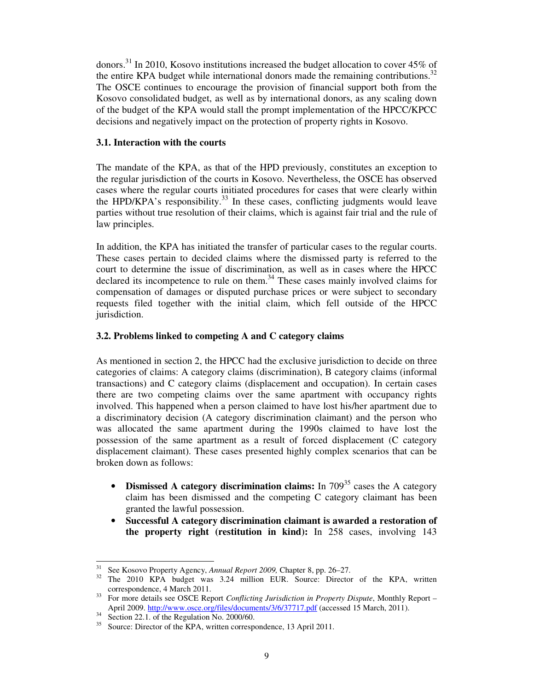donors.<sup>31</sup> In 2010, Kosovo institutions increased the budget allocation to cover  $45\%$  of the entire KPA budget while international donors made the remaining contributions.<sup>32</sup> The OSCE continues to encourage the provision of financial support both from the Kosovo consolidated budget, as well as by international donors, as any scaling down of the budget of the KPA would stall the prompt implementation of the HPCC/KPCC decisions and negatively impact on the protection of property rights in Kosovo.

#### **3.1. Interaction with the courts**

The mandate of the KPA, as that of the HPD previously, constitutes an exception to the regular jurisdiction of the courts in Kosovo. Nevertheless, the OSCE has observed cases where the regular courts initiated procedures for cases that were clearly within the HPD/KPA's responsibility.<sup>33</sup> In these cases, conflicting judgments would leave parties without true resolution of their claims, which is against fair trial and the rule of law principles.

In addition, the KPA has initiated the transfer of particular cases to the regular courts. These cases pertain to decided claims where the dismissed party is referred to the court to determine the issue of discrimination, as well as in cases where the HPCC declared its incompetence to rule on them.<sup>34</sup> These cases mainly involved claims for compensation of damages or disputed purchase prices or were subject to secondary requests filed together with the initial claim, which fell outside of the HPCC jurisdiction.

# **3.2. Problems linked to competing A and C category claims**

As mentioned in section 2, the HPCC had the exclusive jurisdiction to decide on three categories of claims: A category claims (discrimination), B category claims (informal transactions) and C category claims (displacement and occupation). In certain cases there are two competing claims over the same apartment with occupancy rights involved. This happened when a person claimed to have lost his/her apartment due to a discriminatory decision (A category discrimination claimant) and the person who was allocated the same apartment during the 1990s claimed to have lost the possession of the same apartment as a result of forced displacement (C category displacement claimant). These cases presented highly complex scenarios that can be broken down as follows:

- **Dismissed A category discrimination claims:** In 709<sup>35</sup> cases the A category claim has been dismissed and the competing C category claimant has been granted the lawful possession.
- **Successful A category discrimination claimant is awarded a restoration of the property right (restitution in kind):** In 258 cases, involving 143

<sup>31</sup> See Kosovo Property Agency, *Annual Report 2009,* Chapter 8, pp. 26–27.

The 2010 KPA budget was 3.24 million EUR. Source: Director of the KPA, written correspondence, 4 March 2011.

<sup>33</sup> For more details see OSCE Report *Conflicting Jurisdiction in Property Dispute*, Monthly Report – April 2009. http://www.osce.org/files/documents/3/6/37717.pdf (accessed 15 March, 2011).

 $34$  Section 22.1. of the Regulation No. 2000/60.

<sup>&</sup>lt;sup>35</sup> Source: Director of the KPA, written correspondence, 13 April 2011.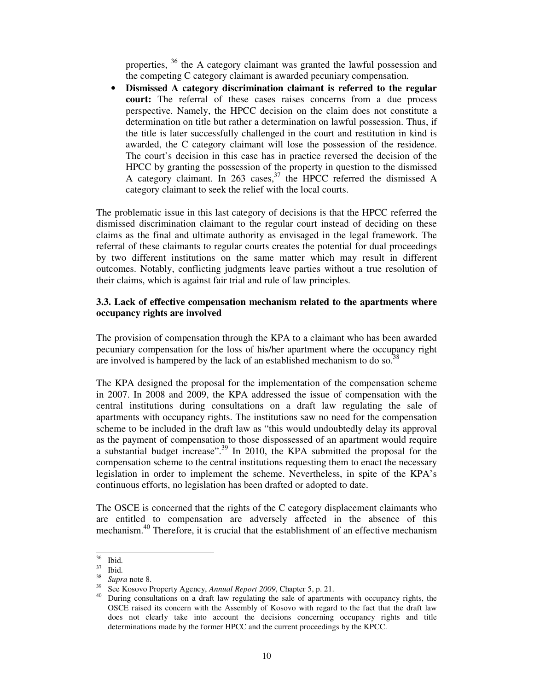properties, <sup>36</sup> the A category claimant was granted the lawful possession and the competing C category claimant is awarded pecuniary compensation.

• **Dismissed A category discrimination claimant is referred to the regular court:** The referral of these cases raises concerns from a due process perspective. Namely, the HPCC decision on the claim does not constitute a determination on title but rather a determination on lawful possession. Thus, if the title is later successfully challenged in the court and restitution in kind is awarded, the C category claimant will lose the possession of the residence. The court's decision in this case has in practice reversed the decision of the HPCC by granting the possession of the property in question to the dismissed A category claimant. In 263 cases,  $37$  the HPCC referred the dismissed A category claimant to seek the relief with the local courts.

The problematic issue in this last category of decisions is that the HPCC referred the dismissed discrimination claimant to the regular court instead of deciding on these claims as the final and ultimate authority as envisaged in the legal framework. The referral of these claimants to regular courts creates the potential for dual proceedings by two different institutions on the same matter which may result in different outcomes. Notably, conflicting judgments leave parties without a true resolution of their claims, which is against fair trial and rule of law principles.

#### **3.3. Lack of effective compensation mechanism related to the apartments where occupancy rights are involved**

The provision of compensation through the KPA to a claimant who has been awarded pecuniary compensation for the loss of his/her apartment where the occupancy right are involved is hampered by the lack of an established mechanism to do so.<sup>38</sup>

The KPA designed the proposal for the implementation of the compensation scheme in 2007. In 2008 and 2009, the KPA addressed the issue of compensation with the central institutions during consultations on a draft law regulating the sale of apartments with occupancy rights. The institutions saw no need for the compensation scheme to be included in the draft law as "this would undoubtedly delay its approval as the payment of compensation to those dispossessed of an apartment would require a substantial budget increase".<sup>39</sup> In 2010, the KPA submitted the proposal for the compensation scheme to the central institutions requesting them to enact the necessary legislation in order to implement the scheme. Nevertheless, in spite of the KPA's continuous efforts, no legislation has been drafted or adopted to date.

The OSCE is concerned that the rights of the C category displacement claimants who are entitled to compensation are adversely affected in the absence of this mechanism.<sup>40</sup> Therefore, it is crucial that the establishment of an effective mechanism

 $36$  Ibid.

<sup>37</sup> Ibid.

<sup>38</sup> *Supra* note 8.

<sup>39</sup> See Kosovo Property Agency, *Annual Report 2009*, Chapter 5, p. 21.

<sup>40</sup> During consultations on a draft law regulating the sale of apartments with occupancy rights, the OSCE raised its concern with the Assembly of Kosovo with regard to the fact that the draft law does not clearly take into account the decisions concerning occupancy rights and title determinations made by the former HPCC and the current proceedings by the KPCC.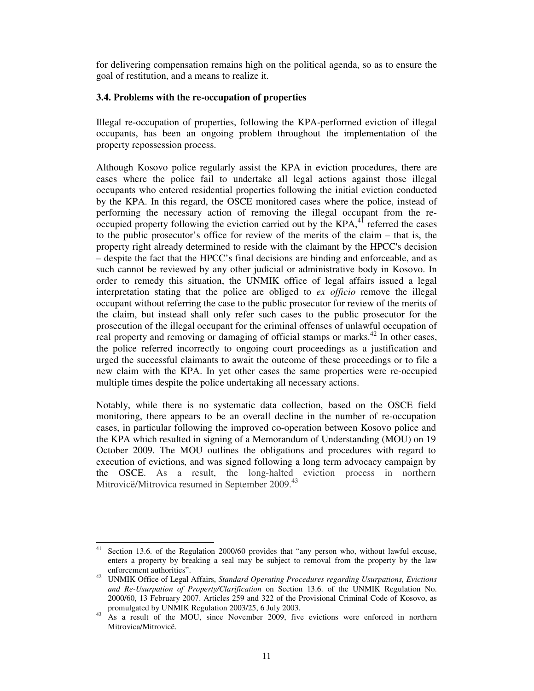for delivering compensation remains high on the political agenda, so as to ensure the goal of restitution, and a means to realize it.

#### **3.4. Problems with the re-occupation of properties**

Illegal re-occupation of properties, following the KPA-performed eviction of illegal occupants, has been an ongoing problem throughout the implementation of the property repossession process.

Although Kosovo police regularly assist the KPA in eviction procedures, there are cases where the police fail to undertake all legal actions against those illegal occupants who entered residential properties following the initial eviction conducted by the KPA. In this regard, the OSCE monitored cases where the police, instead of performing the necessary action of removing the illegal occupant from the re- $\alpha$  occupied property following the eviction carried out by the KPA, $4$ <sup>1</sup> referred the cases to the public prosecutor's office for review of the merits of the claim – that is, the property right already determined to reside with the claimant by the HPCC's decision – despite the fact that the HPCC's final decisions are binding and enforceable, and as such cannot be reviewed by any other judicial or administrative body in Kosovo. In order to remedy this situation, the UNMIK office of legal affairs issued a legal interpretation stating that the police are obliged to *ex officio* remove the illegal occupant without referring the case to the public prosecutor for review of the merits of the claim, but instead shall only refer such cases to the public prosecutor for the prosecution of the illegal occupant for the criminal offenses of unlawful occupation of real property and removing or damaging of official stamps or marks.<sup>42</sup> In other cases, the police referred incorrectly to ongoing court proceedings as a justification and urged the successful claimants to await the outcome of these proceedings or to file a new claim with the KPA. In yet other cases the same properties were re-occupied multiple times despite the police undertaking all necessary actions.

Notably, while there is no systematic data collection, based on the OSCE field monitoring, there appears to be an overall decline in the number of re-occupation cases, in particular following the improved co-operation between Kosovo police and the KPA which resulted in signing of a Memorandum of Understanding (MOU) on 19 October 2009. The MOU outlines the obligations and procedures with regard to execution of evictions, and was signed following a long term advocacy campaign by the OSCE. As a result, the long-halted eviction process in northern Mitrovicë/Mitrovica resumed in September 2009.<sup>43</sup>

<sup>&</sup>lt;sup>41</sup> Section 13.6. of the Regulation 2000/60 provides that "any person who, without lawful excuse, enters a property by breaking a seal may be subject to removal from the property by the law enforcement authorities".

<sup>42</sup> UNMIK Office of Legal Affairs, *Standard Operating Procedures regarding Usurpations, Evictions and Re-Usurpation of Property/Clarification* on Section 13.6. of the UNMIK Regulation No. 2000/60, 13 February 2007. Articles 259 and 322 of the Provisional Criminal Code of Kosovo, as promulgated by UNMIK Regulation 2003/25, 6 July 2003.

<sup>&</sup>lt;sup>43</sup> As a result of the MOU, since November 2009, five evictions were enforced in northern Mitrovica/Mitrovicë.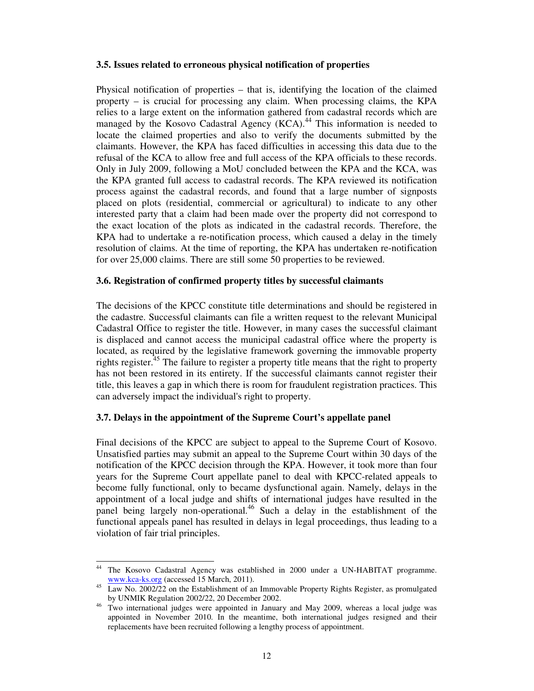#### **3.5. Issues related to erroneous physical notification of properties**

Physical notification of properties – that is, identifying the location of the claimed property – is crucial for processing any claim. When processing claims, the KPA relies to a large extent on the information gathered from cadastral records which are managed by the Kosovo Cadastral Agency  $(KCA)$ .<sup>44</sup> This information is needed to locate the claimed properties and also to verify the documents submitted by the claimants. However, the KPA has faced difficulties in accessing this data due to the refusal of the KCA to allow free and full access of the KPA officials to these records. Only in July 2009, following a MoU concluded between the KPA and the KCA, was the KPA granted full access to cadastral records. The KPA reviewed its notification process against the cadastral records, and found that a large number of signposts placed on plots (residential, commercial or agricultural) to indicate to any other interested party that a claim had been made over the property did not correspond to the exact location of the plots as indicated in the cadastral records. Therefore, the KPA had to undertake a re-notification process, which caused a delay in the timely resolution of claims. At the time of reporting, the KPA has undertaken re-notification for over 25,000 claims. There are still some 50 properties to be reviewed.

#### **3.6. Registration of confirmed property titles by successful claimants**

The decisions of the KPCC constitute title determinations and should be registered in the cadastre. Successful claimants can file a written request to the relevant Municipal Cadastral Office to register the title. However, in many cases the successful claimant is displaced and cannot access the municipal cadastral office where the property is located, as required by the legislative framework governing the immovable property rights register.<sup>45</sup> The failure to register a property title means that the right to property has not been restored in its entirety. If the successful claimants cannot register their title, this leaves a gap in which there is room for fraudulent registration practices. This can adversely impact the individual's right to property.

#### **3.7. Delays in the appointment of the Supreme Court's appellate panel**

Final decisions of the KPCC are subject to appeal to the Supreme Court of Kosovo. Unsatisfied parties may submit an appeal to the Supreme Court within 30 days of the notification of the KPCC decision through the KPA. However, it took more than four years for the Supreme Court appellate panel to deal with KPCC-related appeals to become fully functional, only to became dysfunctional again. Namely, delays in the appointment of a local judge and shifts of international judges have resulted in the panel being largely non-operational.<sup>46</sup> Such a delay in the establishment of the functional appeals panel has resulted in delays in legal proceedings, thus leading to a violation of fair trial principles.

<sup>44</sup> The Kosovo Cadastral Agency was established in 2000 under a UN-HABITAT programme. www.kca-ks.org (accessed 15 March, 2011).

<sup>&</sup>lt;sup>45</sup> Law No. 2002/22 on the Establishment of an Immovable Property Rights Register, as promulgated by UNMIK Regulation 2002/22, 20 December 2002.

<sup>&</sup>lt;sup>46</sup> Two international judges were appointed in January and May 2009, whereas a local judge was appointed in November 2010. In the meantime, both international judges resigned and their replacements have been recruited following a lengthy process of appointment.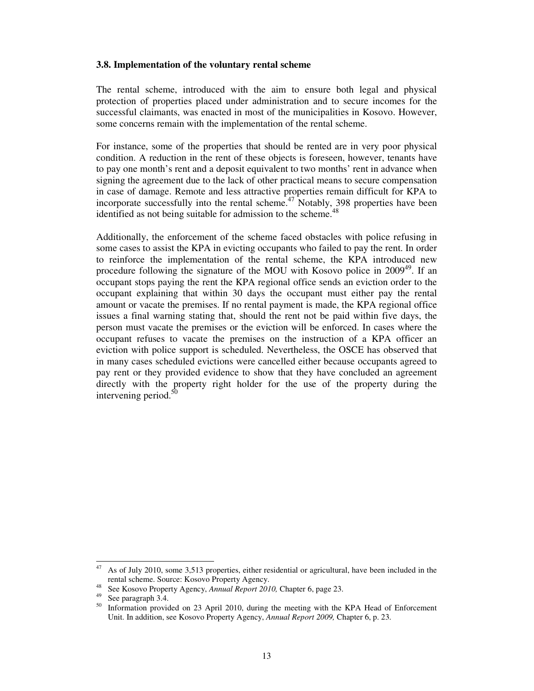#### **3.8. Implementation of the voluntary rental scheme**

The rental scheme, introduced with the aim to ensure both legal and physical protection of properties placed under administration and to secure incomes for the successful claimants, was enacted in most of the municipalities in Kosovo. However, some concerns remain with the implementation of the rental scheme.

For instance, some of the properties that should be rented are in very poor physical condition. A reduction in the rent of these objects is foreseen, however, tenants have to pay one month's rent and a deposit equivalent to two months' rent in advance when signing the agreement due to the lack of other practical means to secure compensation in case of damage. Remote and less attractive properties remain difficult for KPA to incorporate successfully into the rental scheme.<sup>47</sup> Notably, 398 properties have been identified as not being suitable for admission to the scheme. $48$ 

Additionally, the enforcement of the scheme faced obstacles with police refusing in some cases to assist the KPA in evicting occupants who failed to pay the rent. In order to reinforce the implementation of the rental scheme, the KPA introduced new procedure following the signature of the MOU with Kosovo police in  $2009^{49}$ . If an occupant stops paying the rent the KPA regional office sends an eviction order to the occupant explaining that within 30 days the occupant must either pay the rental amount or vacate the premises. If no rental payment is made, the KPA regional office issues a final warning stating that, should the rent not be paid within five days, the person must vacate the premises or the eviction will be enforced. In cases where the occupant refuses to vacate the premises on the instruction of a KPA officer an eviction with police support is scheduled. Nevertheless, the OSCE has observed that in many cases scheduled evictions were cancelled either because occupants agreed to pay rent or they provided evidence to show that they have concluded an agreement directly with the property right holder for the use of the property during the intervening period. $5$ 

 $47$  As of July 2010, some 3,513 properties, either residential or agricultural, have been included in the rental scheme. Source: Kosovo Property Agency.

<sup>48</sup> See Kosovo Property Agency, *Annual Report 2010,* Chapter 6, page 23.

 $^{49}$  See paragraph 3.4.

Information provided on 23 April 2010, during the meeting with the KPA Head of Enforcement Unit. In addition, see Kosovo Property Agency, *Annual Report 2009,* Chapter 6, p. 23.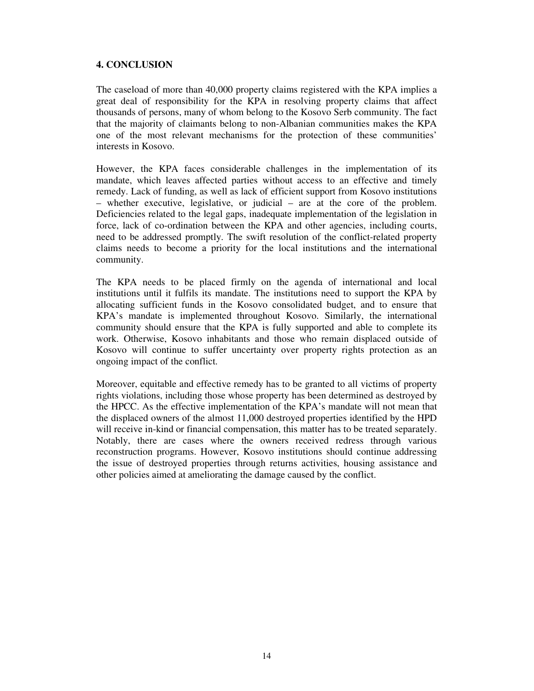# **4. CONCLUSION**

The caseload of more than 40,000 property claims registered with the KPA implies a great deal of responsibility for the KPA in resolving property claims that affect thousands of persons, many of whom belong to the Kosovo Serb community. The fact that the majority of claimants belong to non-Albanian communities makes the KPA one of the most relevant mechanisms for the protection of these communities' interests in Kosovo.

However, the KPA faces considerable challenges in the implementation of its mandate, which leaves affected parties without access to an effective and timely remedy. Lack of funding, as well as lack of efficient support from Kosovo institutions – whether executive, legislative, or judicial – are at the core of the problem. Deficiencies related to the legal gaps, inadequate implementation of the legislation in force, lack of co-ordination between the KPA and other agencies, including courts, need to be addressed promptly. The swift resolution of the conflict-related property claims needs to become a priority for the local institutions and the international community.

The KPA needs to be placed firmly on the agenda of international and local institutions until it fulfils its mandate. The institutions need to support the KPA by allocating sufficient funds in the Kosovo consolidated budget, and to ensure that KPA's mandate is implemented throughout Kosovo. Similarly, the international community should ensure that the KPA is fully supported and able to complete its work. Otherwise, Kosovo inhabitants and those who remain displaced outside of Kosovo will continue to suffer uncertainty over property rights protection as an ongoing impact of the conflict.

Moreover, equitable and effective remedy has to be granted to all victims of property rights violations, including those whose property has been determined as destroyed by the HPCC. As the effective implementation of the KPA's mandate will not mean that the displaced owners of the almost 11,000 destroyed properties identified by the HPD will receive in-kind or financial compensation, this matter has to be treated separately. Notably, there are cases where the owners received redress through various reconstruction programs. However, Kosovo institutions should continue addressing the issue of destroyed properties through returns activities, housing assistance and other policies aimed at ameliorating the damage caused by the conflict.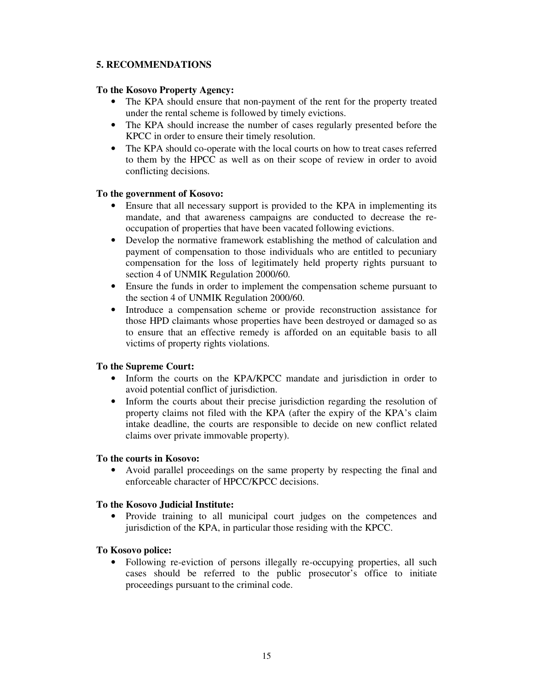# **5. RECOMMENDATIONS**

# **To the Kosovo Property Agency:**

- The KPA should ensure that non-payment of the rent for the property treated under the rental scheme is followed by timely evictions.
- The KPA should increase the number of cases regularly presented before the KPCC in order to ensure their timely resolution.
- The KPA should co-operate with the local courts on how to treat cases referred to them by the HPCC as well as on their scope of review in order to avoid conflicting decisions.

# **To the government of Kosovo:**

- Ensure that all necessary support is provided to the KPA in implementing its mandate, and that awareness campaigns are conducted to decrease the reoccupation of properties that have been vacated following evictions.
- Develop the normative framework establishing the method of calculation and payment of compensation to those individuals who are entitled to pecuniary compensation for the loss of legitimately held property rights pursuant to section 4 of UNMIK Regulation 2000/60.
- Ensure the funds in order to implement the compensation scheme pursuant to the section 4 of UNMIK Regulation 2000/60.
- Introduce a compensation scheme or provide reconstruction assistance for those HPD claimants whose properties have been destroyed or damaged so as to ensure that an effective remedy is afforded on an equitable basis to all victims of property rights violations.

# **To the Supreme Court:**

- Inform the courts on the KPA/KPCC mandate and jurisdiction in order to avoid potential conflict of jurisdiction.
- Inform the courts about their precise jurisdiction regarding the resolution of property claims not filed with the KPA (after the expiry of the KPA's claim intake deadline, the courts are responsible to decide on new conflict related claims over private immovable property).

# **To the courts in Kosovo:**

• Avoid parallel proceedings on the same property by respecting the final and enforceable character of HPCC/KPCC decisions.

#### **To the Kosovo Judicial Institute:**

• Provide training to all municipal court judges on the competences and jurisdiction of the KPA, in particular those residing with the KPCC.

#### **To Kosovo police:**

• Following re-eviction of persons illegally re-occupying properties, all such cases should be referred to the public prosecutor's office to initiate proceedings pursuant to the criminal code.